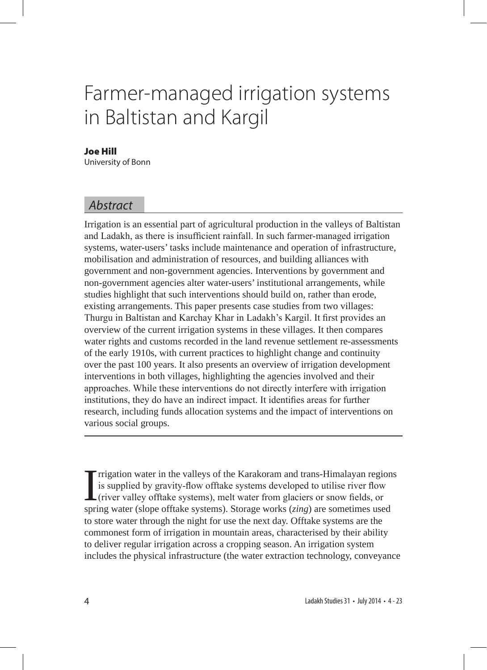# Farmer-managed irrigation systems in Baltistan and Kargil

#### Joe Hill

University of Bonn

## *Abstract*

Irrigation is an essential part of agricultural production in the valleys of Baltistan and Ladakh, as there is insufficient rainfall. In such farmer-managed irrigation systems, water-users' tasks include maintenance and operation of infrastructure, mobilisation and administration of resources, and building alliances with government and non-government agencies. Interventions by government and non-government agencies alter water-users' institutional arrangements, while studies highlight that such interventions should build on, rather than erode, existing arrangements. This paper presents case studies from two villages: Thurgu in Baltistan and Karchay Khar in Ladakh's Kargil. It first provides an overview of the current irrigation systems in these villages. It then compares water rights and customs recorded in the land revenue settlement re-assessments of the early 1910s, with current practices to highlight change and continuity over the past 100 years. It also presents an overview of irrigation development interventions in both villages, highlighting the agencies involved and their approaches. While these interventions do not directly interfere with irrigation institutions, they do have an indirect impact. It identifies areas for further research, including funds allocation systems and the impact of interventions on various social groups.

I rrigation water in the valleys of the Karakoram and trans-Himalayan region is supplied by gravity-flow offtake systems developed to utilise river flow (river valley offtake systems), melt water from glaciers or snow fiel rrigation water in the valleys of the Karakoram and trans-Himalayan regions is supplied by gravity-flow offtake systems developed to utilise river flow (river valley offtake systems), melt water from glaciers or snow fields, or to store water through the night for use the next day. Offtake systems are the commonest form of irrigation in mountain areas, characterised by their ability to deliver regular irrigation across a cropping season. An irrigation system includes the physical infrastructure (the water extraction technology, conveyance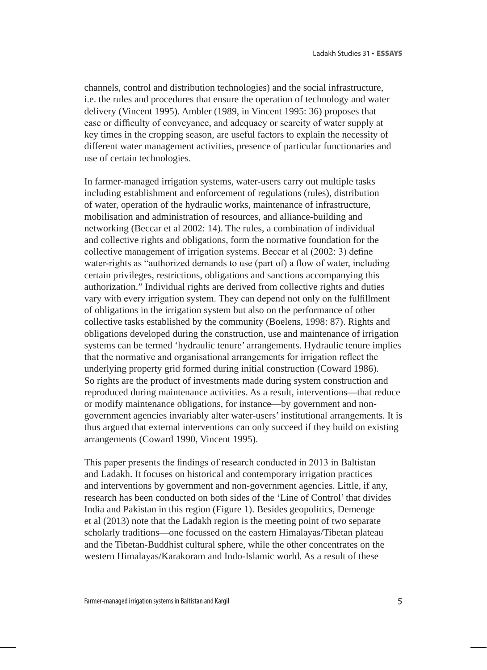channels, control and distribution technologies) and the social infrastructure, i.e. the rules and procedures that ensure the operation of technology and water delivery (Vincent 1995). Ambler (1989, in Vincent 1995: 36) proposes that ease or difficulty of conveyance, and adequacy or scarcity of water supply at key times in the cropping season, are useful factors to explain the necessity of different water management activities, presence of particular functionaries and use of certain technologies.

In farmer-managed irrigation systems, water-users carry out multiple tasks including establishment and enforcement of regulations (rules), distribution of water, operation of the hydraulic works, maintenance of infrastructure, mobilisation and administration of resources, and alliance-building and networking (Beccar et al 2002: 14). The rules, a combination of individual and collective rights and obligations, form the normative foundation for the collective management of irrigation systems. Beccar et al (2002: 3) define water-rights as "authorized demands to use (part of) a flow of water, including certain privileges, restrictions, obligations and sanctions accompanying this authorization." Individual rights are derived from collective rights and duties vary with every irrigation system. They can depend not only on the fulfillment of obligations in the irrigation system but also on the performance of other collective tasks established by the community (Boelens, 1998: 87). Rights and obligations developed during the construction, use and maintenance of irrigation systems can be termed 'hydraulic tenure' arrangements. Hydraulic tenure implies that the normative and organisational arrangements for irrigation reflect the underlying property grid formed during initial construction (Coward 1986). So rights are the product of investments made during system construction and reproduced during maintenance activities. As a result, interventions—that reduce or modify maintenance obligations, for instance—by government and nongovernment agencies invariably alter water-users' institutional arrangements. It is thus argued that external interventions can only succeed if they build on existing arrangements (Coward 1990, Vincent 1995).

This paper presents the findings of research conducted in 2013 in Baltistan and Ladakh. It focuses on historical and contemporary irrigation practices and interventions by government and non-government agencies. Little, if any, research has been conducted on both sides of the 'Line of Control' that divides India and Pakistan in this region (Figure 1). Besides geopolitics, Demenge et al (2013) note that the Ladakh region is the meeting point of two separate scholarly traditions—one focussed on the eastern Himalayas/Tibetan plateau and the Tibetan-Buddhist cultural sphere, while the other concentrates on the western Himalayas/Karakoram and Indo-Islamic world. As a result of these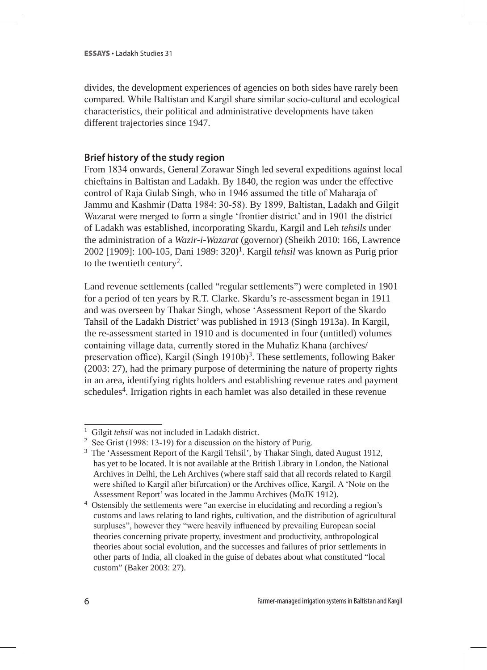divides, the development experiences of agencies on both sides have rarely been compared. While Baltistan and Kargil share similar socio-cultural and ecological characteristics, their political and administrative developments have taken different trajectories since 1947.

## **Brief history of the study region**

From 1834 onwards, General Zorawar Singh led several expeditions against local chieftains in Baltistan and Ladakh. By 1840, the region was under the effective control of Raja Gulab Singh, who in 1946 assumed the title of Maharaja of Jammu and Kashmir (Datta 1984: 30-58). By 1899, Baltistan, Ladakh and Gilgit Wazarat were merged to form a single 'frontier district' and in 1901 the district of Ladakh was established, incorporating Skardu, Kargil and Leh *tehsils* under the administration of a *Wazir-i-Wazarat* (governor) (Sheikh 2010: 166, Lawrence 2002 [1909]: 100-105, Dani 1989: 320)1. Kargil *tehsil* was known as Purig prior to the twentieth century2.

Land revenue settlements (called "regular settlements") were completed in 1901 for a period of ten years by R.T. Clarke. Skardu's re-assessment began in 1911 and was overseen by Thakar Singh, whose 'Assessment Report of the Skardo Tahsil of the Ladakh District' was published in 1913 (Singh 1913a). In Kargil, the re-assessment started in 1910 and is documented in four (untitled) volumes containing village data, currently stored in the Muhafiz Khana (archives/ preservation office), Kargil (Singh 1910b)<sup>3</sup>. These settlements, following Baker (2003: 27), had the primary purpose of determining the nature of property rights in an area, identifying rights holders and establishing revenue rates and payment schedules4. Irrigation rights in each hamlet was also detailed in these revenue

<sup>&</sup>lt;sup>1</sup> Gilgit *tehsil* was not included in Ladakh district.<br><sup>2</sup> See Grist (1998: 13-19) for a discussion on the history of Purig.

<sup>3</sup> The 'Assessment Report of the Kargil Tehsil', by Thakar Singh, dated August 1912, has yet to be located. It is not available at the British Library in London, the National Archives in Delhi, the Leh Archives (where staff said that all records related to Kargil were shifted to Kargil after bifurcation) or the Archives office, Kargil. A 'Note on the Assessment Report' was located in the Jammu Archives (MoJK 1912).

<sup>4</sup> Ostensibly the settlements were "an exercise in elucidating and recording a region's customs and laws relating to land rights, cultivation, and the distribution of agricultural surpluses", however they "were heavily influenced by prevailing European social theories concerning private property, investment and productivity, anthropological theories about social evolution, and the successes and failures of prior settlements in other parts of India, all cloaked in the guise of debates about what constituted "local custom" (Baker 2003: 27).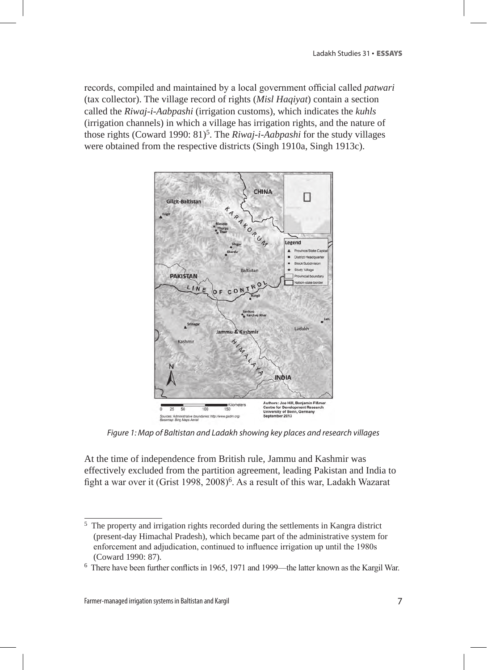records, compiled and maintained by a local government official called *patwari* (tax collector). The village record of rights (*Misl Haqiyat*) contain a section called the *Riwaj-i-Aabpashi* (irrigation customs), which indicates the *kuhls* (irrigation channels) in which a village has irrigation rights, and the nature of those rights (Coward 1990: 81)<sup>5</sup>. The *Riwai-i-Aabpashi* for the study villages were obtained from the respective districts (Singh 1910a, Singh 1913c).



*Figure 1: Map of Baltistan and Ladakh showing key places and research villages*

At the time of independence from British rule, Jammu and Kashmir was effectively excluded from the partition agreement, leading Pakistan and India to fight a war over it (Grist 1998, 2008)<sup>6</sup>. As a result of this war, Ladakh Wazarat

<sup>5</sup> The property and irrigation rights recorded during the settlements in Kangra district (present-day Himachal Pradesh), which became part of the administrative system for enforcement and adjudication, continued to influence irrigation up until the 1980s (Coward 1990: 87).

<sup>&</sup>lt;sup>6</sup> There have been further conflicts in 1965, 1971 and 1999—the latter known as the Kargil War.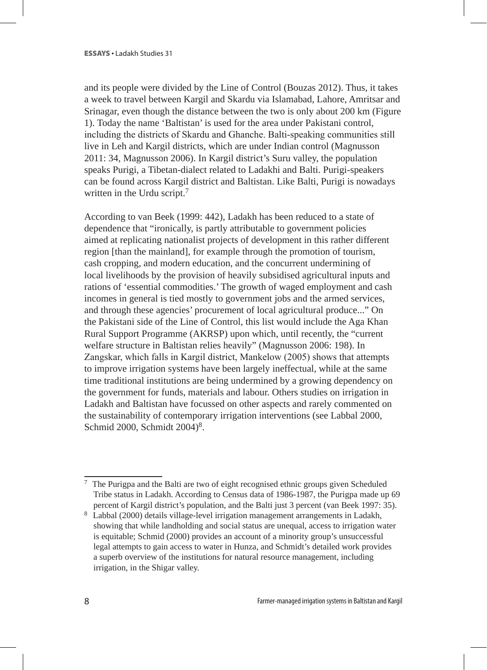and its people were divided by the Line of Control (Bouzas 2012). Thus, it takes a week to travel between Kargil and Skardu via Islamabad, Lahore, Amritsar and Srinagar, even though the distance between the two is only about 200 km (Figure 1). Today the name 'Baltistan' is used for the area under Pakistani control, including the districts of Skardu and Ghanche. Balti-speaking communities still live in Leh and Kargil districts, which are under Indian control (Magnusson 2011: 34, Magnusson 2006). In Kargil district's Suru valley, the population speaks Purigi, a Tibetan-dialect related to Ladakhi and Balti. Purigi-speakers can be found across Kargil district and Baltistan. Like Balti, Purigi is nowadays written in the Urdu script.<sup>7</sup>

According to van Beek (1999: 442), Ladakh has been reduced to a state of dependence that "ironically, is partly attributable to government policies aimed at replicating nationalist projects of development in this rather different region [than the mainland], for example through the promotion of tourism, cash cropping, and modern education, and the concurrent undermining of local livelihoods by the provision of heavily subsidised agricultural inputs and rations of 'essential commodities.' The growth of waged employment and cash incomes in general is tied mostly to government jobs and the armed services, and through these agencies' procurement of local agricultural produce..." On the Pakistani side of the Line of Control, this list would include the Aga Khan Rural Support Programme (AKRSP) upon which, until recently, the "current welfare structure in Baltistan relies heavily" (Magnusson 2006: 198). In Zangskar, which falls in Kargil district, Mankelow (2005) shows that attempts to improve irrigation systems have been largely ineffectual, while at the same time traditional institutions are being undermined by a growing dependency on the government for funds, materials and labour. Others studies on irrigation in Ladakh and Baltistan have focussed on other aspects and rarely commented on the sustainability of contemporary irrigation interventions (see Labbal 2000, Schmid 2000, Schmidt 2004)<sup>8</sup>.

<sup>7</sup> The Purigpa and the Balti are two of eight recognised ethnic groups given Scheduled Tribe status in Ladakh. According to Census data of 1986-1987, the Purigpa made up 69 percent of Kargil district's population, and the Balti just 3 percent (van Beek 1997: 35).

<sup>8</sup> Labbal (2000) details village-level irrigation management arrangements in Ladakh, showing that while landholding and social status are unequal, access to irrigation water is equitable; Schmid (2000) provides an account of a minority group's unsuccessful legal attempts to gain access to water in Hunza, and Schmidt's detailed work provides a superb overview of the institutions for natural resource management, including irrigation, in the Shigar valley.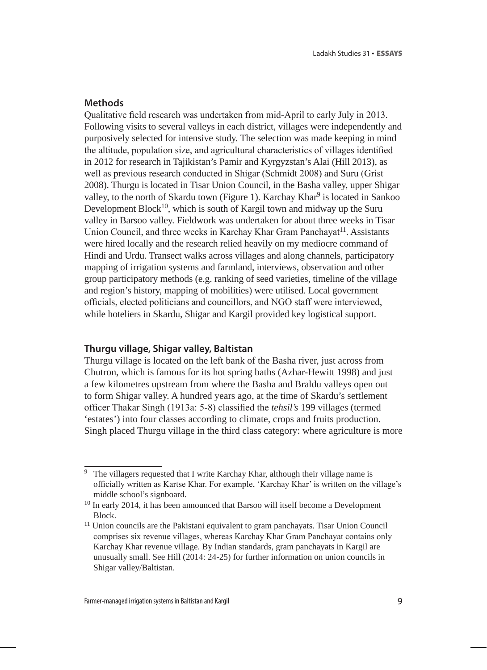## **Methods**

Qualitative field research was undertaken from mid-April to early July in 2013. Following visits to several valleys in each district, villages were independently and purposively selected for intensive study. The selection was made keeping in mind the altitude, population size, and agricultural characteristics of villages identified in 2012 for research in Tajikistan's Pamir and Kyrgyzstan's Alai (Hill 2013), as well as previous research conducted in Shigar (Schmidt 2008) and Suru (Grist 2008). Thurgu is located in Tisar Union Council, in the Basha valley, upper Shigar valley, to the north of Skardu town (Figure 1). Karchay Khar<sup>9</sup> is located in Sankoo Development  $Block^{10}$ , which is south of Kargil town and midway up the Suru valley in Barsoo valley. Fieldwork was undertaken for about three weeks in Tisar Union Council, and three weeks in Karchay Khar Gram Panchayat<sup>11</sup>. Assistants were hired locally and the research relied heavily on my mediocre command of Hindi and Urdu. Transect walks across villages and along channels, participatory mapping of irrigation systems and farmland, interviews, observation and other group participatory methods (e.g. ranking of seed varieties, timeline of the village and region's history, mapping of mobilities) were utilised. Local government officials, elected politicians and councillors, and NGO staff were interviewed, while hoteliers in Skardu, Shigar and Kargil provided key logistical support.

#### **Thurgu village, Shigar valley, Baltistan**

Thurgu village is located on the left bank of the Basha river, just across from Chutron, which is famous for its hot spring baths (Azhar-Hewitt 1998) and just a few kilometres upstream from where the Basha and Braldu valleys open out to form Shigar valley. A hundred years ago, at the time of Skardu's settlement officer Thakar Singh (1913a: 5-8) classified the *tehsil's* 199 villages (termed 'estates') into four classes according to climate, crops and fruits production. Singh placed Thurgu village in the third class category: where agriculture is more

<sup>&</sup>lt;sup>9</sup> The villagers requested that I write Karchay Khar, although their village name is officially written as Kartse Khar. For example, 'Karchay Khar' is written on the village's middle school's signboard.

<sup>10</sup> In early 2014, it has been announced that Barsoo will itself become a Development Block.<br><sup>11</sup> Union councils are the Pakistani equivalent to gram panchayats. Tisar Union Council

comprises six revenue villages, whereas Karchay Khar Gram Panchayat contains only Karchay Khar revenue village. By Indian standards, gram panchayats in Kargil are unusually small. See Hill (2014: 24-25) for further information on union councils in Shigar valley/Baltistan.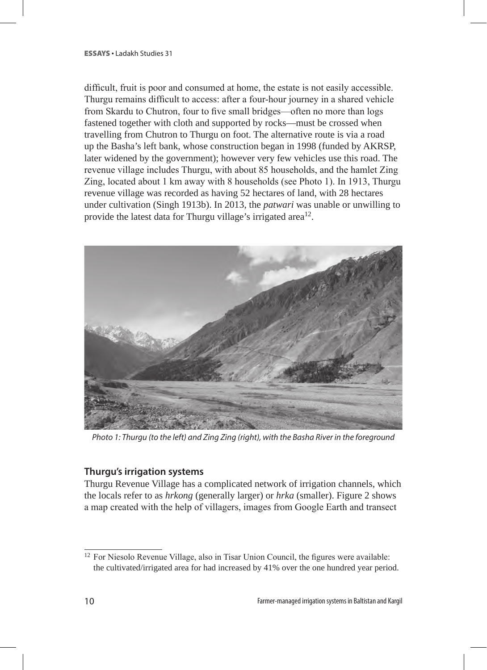difficult, fruit is poor and consumed at home, the estate is not easily accessible. Thurgu remains difficult to access: after a four-hour journey in a shared vehicle from Skardu to Chutron, four to five small bridges—often no more than logs fastened together with cloth and supported by rocks—must be crossed when travelling from Chutron to Thurgu on foot. The alternative route is via a road up the Basha's left bank, whose construction began in 1998 (funded by AKRSP, later widened by the government); however very few vehicles use this road. The revenue village includes Thurgu, with about 85 households, and the hamlet Zing Zing, located about 1 km away with 8 households (see Photo 1). In 1913, Thurgu revenue village was recorded as having 52 hectares of land, with 28 hectares under cultivation (Singh 1913b). In 2013, the *patwari* was unable or unwilling to provide the latest data for Thurgu village's irrigated area<sup>12</sup>.



*Photo 1: Thurgu (to the left) and Zing Zing (right), with the Basha River in the foreground*

## **Thurgu's irrigation systems**

Thurgu Revenue Village has a complicated network of irrigation channels, which the locals refer to as *hrkong* (generally larger) or *hrka* (smaller). Figure 2 shows a map created with the help of villagers, images from Google Earth and transect

<sup>12</sup> For Niesolo Revenue Village, also in Tisar Union Council, the figures were available: the cultivated/irrigated area for had increased by 41% over the one hundred year period.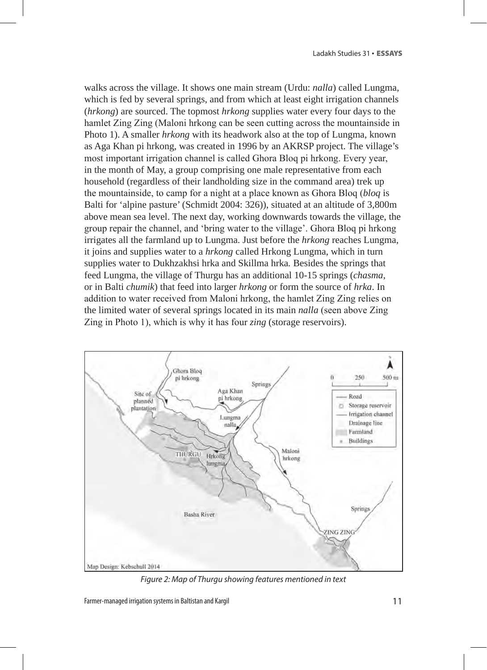walks across the village. It shows one main stream (Urdu: *nalla*) called Lungma, which is fed by several springs, and from which at least eight irrigation channels (*hrkong*) are sourced. The topmost *hrkong* supplies water every four days to the hamlet Zing Zing (Maloni hrkong can be seen cutting across the mountainside in Photo 1). A smaller *hrkong* with its headwork also at the top of Lungma, known as Aga Khan pi hrkong, was created in 1996 by an AKRSP project. The village's most important irrigation channel is called Ghora Bloq pi hrkong. Every year, in the month of May, a group comprising one male representative from each household (regardless of their landholding size in the command area) trek up the mountainside, to camp for a night at a place known as Ghora Bloq (*bloq* is Balti for 'alpine pasture' (Schmidt 2004: 326)), situated at an altitude of 3,800m above mean sea level. The next day, working downwards towards the village, the group repair the channel, and 'bring water to the village'. Ghora Bloq pi hrkong irrigates all the farmland up to Lungma. Just before the *hrkong* reaches Lungma, it joins and supplies water to a *hrkong* called Hrkong Lungma, which in turn supplies water to Dukhzakhsi hrka and Skillma hrka*.* Besides the springs that feed Lungma, the village of Thurgu has an additional 10-15 springs (*chasma*, or in Balti *chumik*) that feed into larger *hrkong* or form the source of *hrka*. In addition to water received from Maloni hrkong, the hamlet Zing Zing relies on the limited water of several springs located in its main *nalla* (seen above Zing Zing in Photo 1), which is why it has four *zing* (storage reservoirs).



*Figure 2: Map of Thurgu showing features mentioned in text*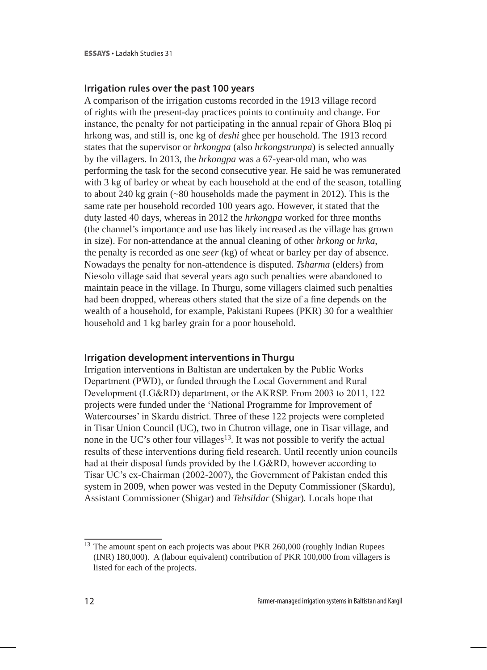#### **Irrigation rules over the past 100 years**

A comparison of the irrigation customs recorded in the 1913 village record of rights with the present-day practices points to continuity and change. For instance, the penalty for not participating in the annual repair of Ghora Bloq pi hrkong was, and still is, one kg of *deshi* ghee per household. The 1913 record states that the supervisor or *hrkongpa* (also *hrkongstrunpa*) is selected annually by the villagers. In 2013, the *hrkongpa* was a 67-year-old man, who was performing the task for the second consecutive year. He said he was remunerated with 3 kg of barley or wheat by each household at the end of the season, totalling to about 240 kg grain (~80 households made the payment in 2012). This is the same rate per household recorded 100 years ago. However, it stated that the duty lasted 40 days, whereas in 2012 the *hrkongpa* worked for three months (the channel's importance and use has likely increased as the village has grown in size). For non-attendance at the annual cleaning of other *hrkong* or *hrka*, the penalty is recorded as one *seer* (kg) of wheat or barley per day of absence. Nowadays the penalty for non-attendence is disputed. *Tsharma* (elders) from Niesolo village said that several years ago such penalties were abandoned to maintain peace in the village. In Thurgu, some villagers claimed such penalties had been dropped, whereas others stated that the size of a fine depends on the wealth of a household, for example, Pakistani Rupees (PKR) 30 for a wealthier household and 1 kg barley grain for a poor household.

#### **Irrigation development interventions in Thurgu**

Irrigation interventions in Baltistan are undertaken by the Public Works Department (PWD), or funded through the Local Government and Rural Development (LG&RD) department, or the AKRSP. From 2003 to 2011, 122 projects were funded under the 'National Programme for Improvement of Watercourses' in Skardu district. Three of these 122 projects were completed in Tisar Union Council (UC), two in Chutron village, one in Tisar village, and none in the UC's other four villages<sup>13</sup>. It was not possible to verify the actual results of these interventions during field research. Until recently union councils had at their disposal funds provided by the LG&RD, however according to Tisar UC's ex-Chairman (2002-2007), the Government of Pakistan ended this system in 2009, when power was vested in the Deputy Commissioner (Skardu), Assistant Commissioner (Shigar) and *Tehsildar* (Shigar)*.* Locals hope that

<sup>&</sup>lt;sup>13</sup> The amount spent on each projects was about PKR 260,000 (roughly Indian Rupees (INR) 180,000). A (labour equivalent) contribution of PKR 100,000 from villagers is listed for each of the projects.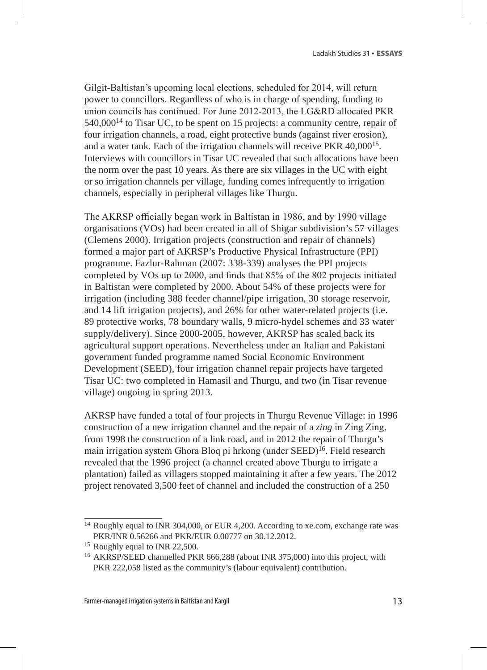Gilgit-Baltistan's upcoming local elections, scheduled for 2014, will return power to councillors. Regardless of who is in charge of spending, funding to union councils has continued. For June 2012-2013, the LG&RD allocated PKR  $540,000^{14}$  to Tisar UC, to be spent on 15 projects: a community centre, repair of four irrigation channels, a road, eight protective bunds (against river erosion), and a water tank. Each of the irrigation channels will receive PKR 40,00015. Interviews with councillors in Tisar UC revealed that such allocations have been the norm over the past 10 years. As there are six villages in the UC with eight or so irrigation channels per village, funding comes infrequently to irrigation channels, especially in peripheral villages like Thurgu.

The AKRSP officially began work in Baltistan in 1986, and by 1990 village organisations (VOs) had been created in all of Shigar subdivision's 57 villages (Clemens 2000). Irrigation projects (construction and repair of channels) formed a major part of AKRSP's Productive Physical Infrastructure (PPI) programme. Fazlur-Rahman (2007: 338-339) analyses the PPI projects completed by VOs up to 2000, and finds that 85% of the 802 projects initiated in Baltistan were completed by 2000. About 54% of these projects were for irrigation (including 388 feeder channel/pipe irrigation, 30 storage reservoir, and 14 lift irrigation projects), and 26% for other water-related projects (i.e. 89 protective works, 78 boundary walls, 9 micro-hydel schemes and 33 water supply/delivery). Since 2000-2005, however, AKRSP has scaled back its agricultural support operations. Nevertheless under an Italian and Pakistani government funded programme named Social Economic Environment Development (SEED), four irrigation channel repair projects have targeted Tisar UC: two completed in Hamasil and Thurgu, and two (in Tisar revenue village) ongoing in spring 2013.

AKRSP have funded a total of four projects in Thurgu Revenue Village: in 1996 construction of a new irrigation channel and the repair of a *zing* in Zing Zing, from 1998 the construction of a link road, and in 2012 the repair of Thurgu's main irrigation system Ghora Bloq pi hrkong (under SEED)16. Field research revealed that the 1996 project (a channel created above Thurgu to irrigate a plantation) failed as villagers stopped maintaining it after a few years. The 2012 project renovated 3,500 feet of channel and included the construction of a 250

<sup>&</sup>lt;sup>14</sup> Roughly equal to INR 304,000, or EUR 4,200. According to xe.com, exchange rate was PKR/INR 0.56266 and PKR/EUR 0.00777 on 30.12.2012.

<sup>15</sup> Roughly equal to INR 22,500.

<sup>16</sup> AKRSP/SEED channelled PKR 666,288 (about INR 375,000) into this project, with PKR 222,058 listed as the community's (labour equivalent) contribution.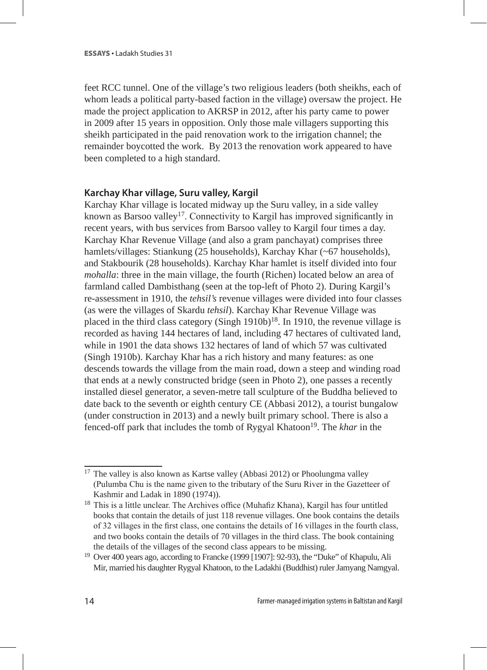feet RCC tunnel. One of the village's two religious leaders (both sheikhs, each of whom leads a political party-based faction in the village) oversaw the project. He made the project application to AKRSP in 2012, after his party came to power in 2009 after 15 years in opposition. Only those male villagers supporting this sheikh participated in the paid renovation work to the irrigation channel; the remainder boycotted the work. By 2013 the renovation work appeared to have been completed to a high standard.

## **Karchay Khar village, Suru valley, Kargil**

Karchay Khar village is located midway up the Suru valley, in a side valley known as Barsoo valley<sup>17</sup>. Connectivity to Kargil has improved significantly in recent years, with bus services from Barsoo valley to Kargil four times a day. Karchay Khar Revenue Village (and also a gram panchayat) comprises three hamlets/villages: Stiankung (25 households), Karchay Khar (~67 households), and Stakbourik (28 households). Karchay Khar hamlet is itself divided into four *mohalla*: three in the main village, the fourth (Richen) located below an area of farmland called Dambisthang (seen at the top-left of Photo 2). During Kargil's re-assessment in 1910, the *tehsil's* revenue villages were divided into four classes (as were the villages of Skardu *tehsil*). Karchay Khar Revenue Village was placed in the third class category (Singh  $1910b$ )<sup>18</sup>. In 1910, the revenue village is recorded as having 144 hectares of land, including 47 hectares of cultivated land, while in 1901 the data shows 132 hectares of land of which 57 was cultivated (Singh 1910b). Karchay Khar has a rich history and many features: as one descends towards the village from the main road, down a steep and winding road that ends at a newly constructed bridge (seen in Photo 2), one passes a recently installed diesel generator, a seven-metre tall sculpture of the Buddha believed to date back to the seventh or eighth century CE (Abbasi 2012), a tourist bungalow (under construction in 2013) and a newly built primary school. There is also a fenced-off park that includes the tomb of Rygyal Khatoon19. The *khar* in the

<sup>&</sup>lt;sup>17</sup> The valley is also known as Kartse valley (Abbasi 2012) or Phoolungma valley (Pulumba Chu is the name given to the tributary of the Suru River in the Gazetteer of Kashmir and Ladak in 1890 (1974)).

<sup>&</sup>lt;sup>18</sup> This is a little unclear. The Archives office (Muhafiz Khana), Kargil has four untitled books that contain the details of just 118 revenue villages. One book contains the details of 32 villages in the first class, one contains the details of 16 villages in the fourth class, and two books contain the details of 70 villages in the third class. The book containing the details of the villages of the second class appears to be missing.<br><sup>19</sup> Over 400 years ago, according to Francke (1999 [1907]: 92-93), the "Duke" of Khapulu, Ali

Mir, married his daughter Rygyal Khatoon, to the Ladakhi (Buddhist) ruler Jamyang Namgyal.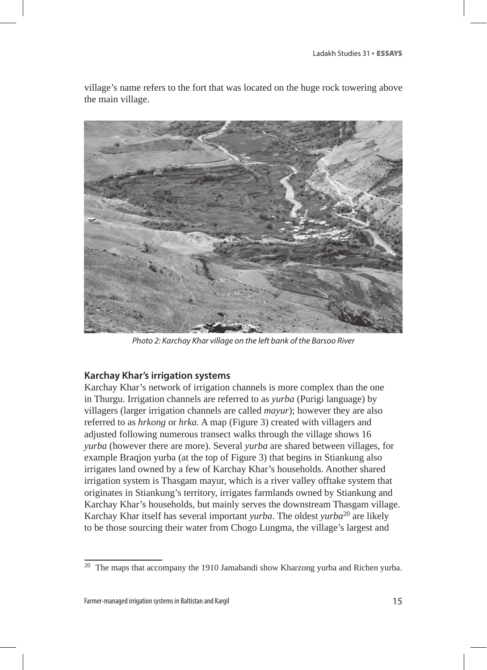village's name refers to the fort that was located on the huge rock towering above the main village.



*Photo 2: Karchay Khar village on the left bank of the Barsoo River*

#### **Karchay Khar's irrigation systems**

Karchay Khar's network of irrigation channels is more complex than the one in Thurgu. Irrigation channels are referred to as *yurba* (Purigi language) by villagers (larger irrigation channels are called *mayur*); however they are also referred to as *hrkong* or *hrka.* A map (Figure 3) created with villagers and adjusted following numerous transect walks through the village shows 16 *yurba* (however there are more). Several *yurba* are shared between villages, for example Braqjon yurba (at the top of Figure 3) that begins in Stiankung also irrigates land owned by a few of Karchay Khar's households. Another shared irrigation system is Thasgam mayur, which is a river valley offtake system that originates in Stiankung's territory, irrigates farmlands owned by Stiankung and Karchay Khar's households, but mainly serves the downstream Thasgam village. Karchay Khar itself has several important *yurba*. The oldest *yurba*20 are likely to be those sourcing their water from Chogo Lungma, the village's largest and

 $20$  The maps that accompany the 1910 Jamabandi show Kharzong yurba and Richen yurba.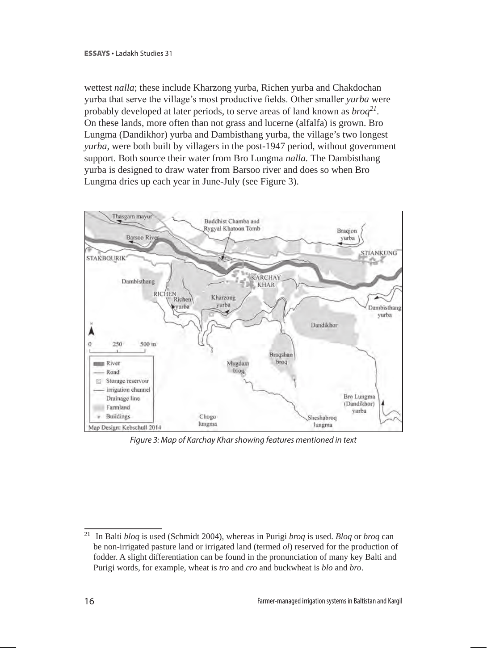wettest *nalla*; these include Kharzong yurba, Richen yurba and Chakdochan yurba that serve the village's most productive fields. Other smaller *yurba* were probably developed at later periods, to serve areas of land known as *broq<sup>21</sup>*. On these lands, more often than not grass and lucerne (alfalfa) is grown. Bro Lungma (Dandikhor) yurba and Dambisthang yurba, the village's two longest *yurba,* were both built by villagers in the post-1947 period, without government support. Both source their water from Bro Lungma *nalla.* The Dambisthang yurba is designed to draw water from Barsoo river and does so when Bro Lungma dries up each year in June-July (see Figure 3).



*Figure 3: Map of Karchay Khar showing features mentioned in text*

<sup>21</sup> In Balti *bloq* is used (Schmidt 2004), whereas in Purigi *broq* is used. *Bloq* or *broq* can be non-irrigated pasture land or irrigated land (termed *ol*) reserved for the production of fodder. A slight differentiation can be found in the pronunciation of many key Balti and Purigi words, for example, wheat is *tro* and *cro* and buckwheat is *blo* and *bro*.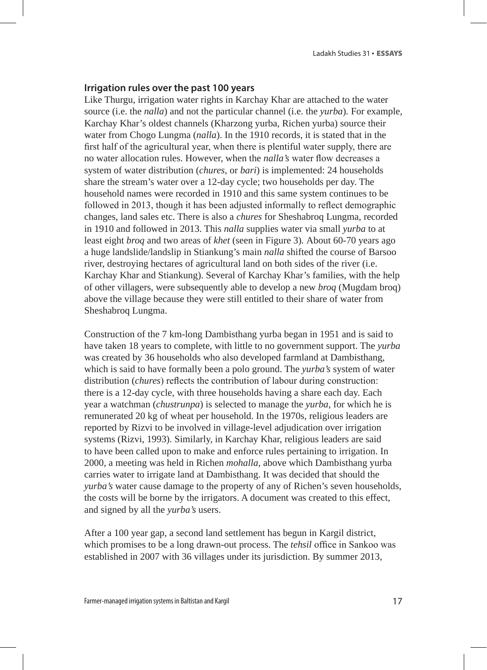#### **Irrigation rules over the past 100 years**

Like Thurgu, irrigation water rights in Karchay Khar are attached to the water source (i.e. the *nalla*) and not the particular channel (i.e. the *yurba*)*.* For example, Karchay Khar's oldest channels (Kharzong yurba, Richen yurba) source their water from Chogo Lungma (*nalla*). In the 1910 records, it is stated that in the first half of the agricultural year, when there is plentiful water supply, there are no water allocation rules. However, when the *nalla's* water flow decreases a system of water distribution (*chures*, or *bari*) is implemented: 24 households share the stream's water over a 12-day cycle; two households per day. The household names were recorded in 1910 and this same system continues to be followed in 2013, though it has been adjusted informally to reflect demographic changes, land sales etc. There is also a *chures* for Sheshabroq Lungma, recorded in 1910 and followed in 2013. This *nalla* supplies water via small *yurba* to at least eight *broq* and two areas of *khet* (seen in Figure 3)*.* About 60-70 years ago a huge landslide/landslip in Stiankung's main *nalla* shifted the course of Barsoo river, destroying hectares of agricultural land on both sides of the river (i.e. Karchay Khar and Stiankung). Several of Karchay Khar's families, with the help of other villagers, were subsequently able to develop a new *broq* (Mugdam broq) above the village because they were still entitled to their share of water from Sheshabroq Lungma.

Construction of the 7 km-long Dambisthang yurba began in 1951 and is said to have taken 18 years to complete, with little to no government support. The *yurba*  was created by 36 households who also developed farmland at Dambisthang, which is said to have formally been a polo ground. The *yurba's* system of water distribution (*chures*) reflects the contribution of labour during construction: there is a 12-day cycle, with three households having a share each day. Each year a watchman (*chustrunpa*) is selected to manage the *yurba*, for which he is remunerated 20 kg of wheat per household. In the 1970s, religious leaders are reported by Rizvi to be involved in village-level adjudication over irrigation systems (Rizvi, 1993). Similarly, in Karchay Khar, religious leaders are said to have been called upon to make and enforce rules pertaining to irrigation. In 2000, a meeting was held in Richen *mohalla*, above which Dambisthang yurba carries water to irrigate land at Dambisthang. It was decided that should the *yurba's* water cause damage to the property of any of Richen's seven households, the costs will be borne by the irrigators. A document was created to this effect, and signed by all the *yurba's* users.

After a 100 year gap, a second land settlement has begun in Kargil district, which promises to be a long drawn-out process. The *tehsil* office in Sankoo was established in 2007 with 36 villages under its jurisdiction. By summer 2013,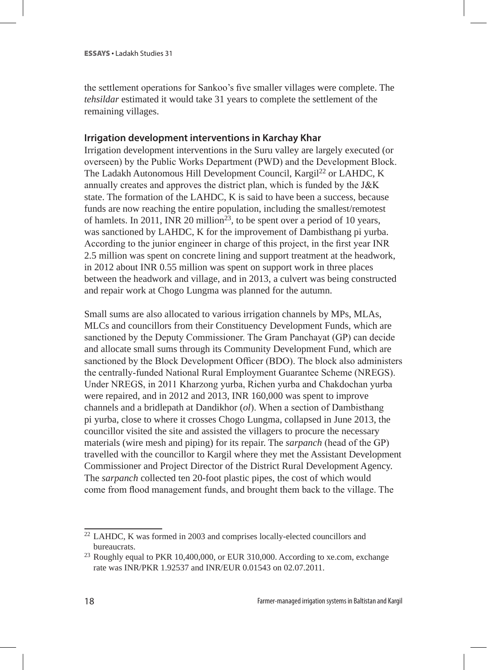the settlement operations for Sankoo's five smaller villages were complete. The *tehsildar* estimated it would take 31 years to complete the settlement of the remaining villages.

## **Irrigation development interventions in Karchay Khar**

Irrigation development interventions in the Suru valley are largely executed (or overseen) by the Public Works Department (PWD) and the Development Block. The Ladakh Autonomous Hill Development Council, Kargil<sup>22</sup> or LAHDC, K annually creates and approves the district plan, which is funded by the J&K state. The formation of the LAHDC, K is said to have been a success, because funds are now reaching the entire population, including the smallest/remotest of hamlets. In 2011, INR 20 million23*,* to be spent over a period of 10 years, was sanctioned by LAHDC, K for the improvement of Dambisthang pi yurba. According to the junior engineer in charge of this project, in the first year INR 2.5 million was spent on concrete lining and support treatment at the headwork, in 2012 about INR 0.55 million was spent on support work in three places between the headwork and village, and in 2013, a culvert was being constructed and repair work at Chogo Lungma was planned for the autumn.

Small sums are also allocated to various irrigation channels by MPs, MLAs, MLCs and councillors from their Constituency Development Funds, which are sanctioned by the Deputy Commissioner. The Gram Panchayat (GP) can decide and allocate small sums through its Community Development Fund, which are sanctioned by the Block Development Officer (BDO). The block also administers the centrally-funded National Rural Employment Guarantee Scheme (NREGS). Under NREGS, in 2011 Kharzong yurba, Richen yurba and Chakdochan yurba were repaired, and in 2012 and 2013, INR 160,000 was spent to improve channels and a bridlepath at Dandikhor (*ol*). When a section of Dambisthang pi yurba, close to where it crosses Chogo Lungma, collapsed in June 2013, the councillor visited the site and assisted the villagers to procure the necessary materials (wire mesh and piping) for its repair. The *sarpanch* (head of the GP) travelled with the councillor to Kargil where they met the Assistant Development Commissioner and Project Director of the District Rural Development Agency. The *sarpanch* collected ten 20-foot plastic pipes, the cost of which would come from flood management funds, and brought them back to the village. The

<sup>22</sup> LAHDC, K was formed in 2003 and comprises locally-elected councillors and bureaucrats.

<sup>&</sup>lt;sup>23</sup> Roughly equal to PKR 10,400,000, or EUR 310,000. According to xe.com, exchange rate was INR/PKR 1.92537 and INR/EUR 0.01543 on 02.07.2011.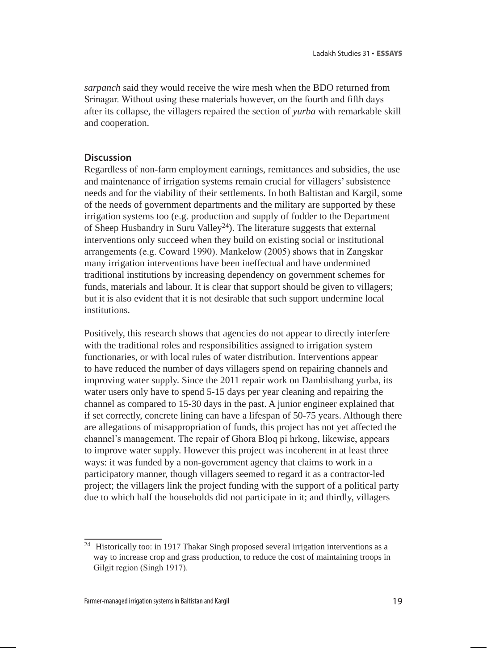*sarpanch* said they would receive the wire mesh when the BDO returned from Srinagar. Without using these materials however, on the fourth and fifth days after its collapse, the villagers repaired the section of *yurba* with remarkable skill and cooperation.

## **Discussion**

Regardless of non-farm employment earnings, remittances and subsidies, the use and maintenance of irrigation systems remain crucial for villagers' subsistence needs and for the viability of their settlements. In both Baltistan and Kargil, some of the needs of government departments and the military are supported by these irrigation systems too (e.g. production and supply of fodder to the Department of Sheep Husbandry in Suru Valley<sup>24</sup>). The literature suggests that external interventions only succeed when they build on existing social or institutional arrangements (e.g. Coward 1990). Mankelow (2005) shows that in Zangskar many irrigation interventions have been ineffectual and have undermined traditional institutions by increasing dependency on government schemes for funds, materials and labour. It is clear that support should be given to villagers; but it is also evident that it is not desirable that such support undermine local institutions.

Positively, this research shows that agencies do not appear to directly interfere with the traditional roles and responsibilities assigned to irrigation system functionaries, or with local rules of water distribution. Interventions appear to have reduced the number of days villagers spend on repairing channels and improving water supply. Since the 2011 repair work on Dambisthang yurba, its water users only have to spend 5-15 days per year cleaning and repairing the channel as compared to 15-30 days in the past. A junior engineer explained that if set correctly, concrete lining can have a lifespan of 50-75 years. Although there are allegations of misappropriation of funds, this project has not yet affected the channel's management. The repair of Ghora Bloq pi hrkong, likewise, appears to improve water supply. However this project was incoherent in at least three ways: it was funded by a non-government agency that claims to work in a participatory manner, though villagers seemed to regard it as a contractor-led project; the villagers link the project funding with the support of a political party due to which half the households did not participate in it; and thirdly, villagers

<sup>&</sup>lt;sup>24</sup> Historically too: in 1917 Thakar Singh proposed several irrigation interventions as a way to increase crop and grass production, to reduce the cost of maintaining troops in Gilgit region (Singh 1917).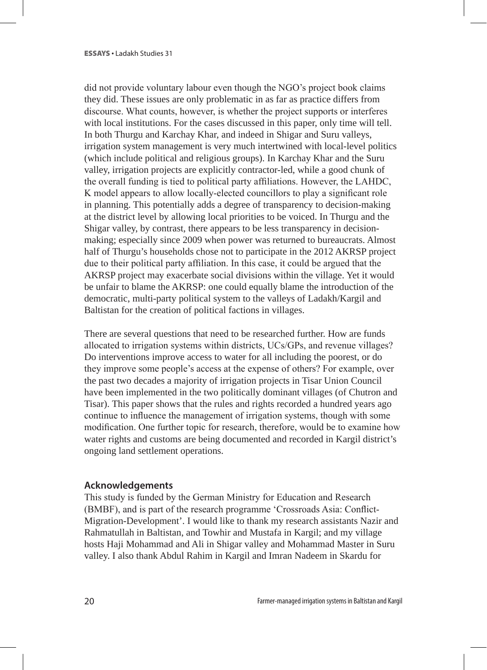did not provide voluntary labour even though the NGO's project book claims they did. These issues are only problematic in as far as practice differs from discourse. What counts, however, is whether the project supports or interferes with local institutions. For the cases discussed in this paper, only time will tell. In both Thurgu and Karchay Khar, and indeed in Shigar and Suru valleys, irrigation system management is very much intertwined with local-level politics (which include political and religious groups). In Karchay Khar and the Suru valley, irrigation projects are explicitly contractor-led, while a good chunk of the overall funding is tied to political party affiliations. However, the LAHDC, K model appears to allow locally-elected councillors to play a significant role in planning. This potentially adds a degree of transparency to decision-making at the district level by allowing local priorities to be voiced. In Thurgu and the Shigar valley, by contrast, there appears to be less transparency in decisionmaking; especially since 2009 when power was returned to bureaucrats. Almost half of Thurgu's households chose not to participate in the 2012 AKRSP project due to their political party affiliation. In this case, it could be argued that the AKRSP project may exacerbate social divisions within the village. Yet it would be unfair to blame the AKRSP: one could equally blame the introduction of the democratic, multi-party political system to the valleys of Ladakh/Kargil and Baltistan for the creation of political factions in villages.

There are several questions that need to be researched further. How are funds allocated to irrigation systems within districts, UCs/GPs, and revenue villages? Do interventions improve access to water for all including the poorest, or do they improve some people's access at the expense of others? For example, over the past two decades a majority of irrigation projects in Tisar Union Council have been implemented in the two politically dominant villages (of Chutron and Tisar). This paper shows that the rules and rights recorded a hundred years ago continue to influence the management of irrigation systems, though with some modification. One further topic for research, therefore, would be to examine how water rights and customs are being documented and recorded in Kargil district's ongoing land settlement operations.

## **Acknowledgements**

This study is funded by the German Ministry for Education and Research (BMBF), and is part of the research programme 'Crossroads Asia: Conflict-Migration-Development'. I would like to thank my research assistants Nazir and Rahmatullah in Baltistan, and Towhir and Mustafa in Kargil; and my village hosts Haji Mohammad and Ali in Shigar valley and Mohammad Master in Suru valley. I also thank Abdul Rahim in Kargil and Imran Nadeem in Skardu for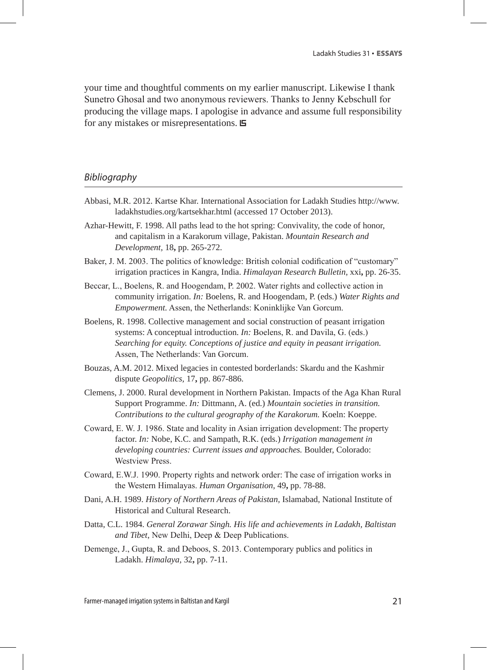your time and thoughtful comments on my earlier manuscript. Likewise I thank Sunetro Ghosal and two anonymous reviewers. Thanks to Jenny Kebschull for producing the village maps. I apologise in advance and assume full responsibility for any mistakes or misrepresentations.

#### *Bibliography*

- Abbasi, M.R. 2012. Kartse Khar. International Association for Ladakh Studies http://www. ladakhstudies.org/kartsekhar.html (accessed 17 October 2013).
- Azhar-Hewitt, F. 1998. All paths lead to the hot spring: Convivality, the code of honor, and capitalism in a Karakorum village, Pakistan. *Mountain Research and Development,* 18**,** pp. 265-272.
- Baker, J. M. 2003. The politics of knowledge: British colonial codification of "customary" irrigation practices in Kangra, India. *Himalayan Research Bulletin,* xxi**,** pp. 26-35.
- Beccar, L., Boelens, R. and Hoogendam, P. 2002. Water rights and collective action in community irrigation. *In:* Boelens, R. and Hoogendam, P. (eds.) *Water Rights and Empowerment.* Assen, the Netherlands: Koninklijke Van Gorcum.
- Boelens, R. 1998. Collective management and social construction of peasant irrigation systems: A conceptual introduction. *In:* Boelens, R. and Davila, G. (eds.) *Searching for equity. Conceptions of justice and equity in peasant irrigation.* Assen, The Netherlands: Van Gorcum.
- Bouzas, A.M. 2012. Mixed legacies in contested borderlands: Skardu and the Kashmir dispute *Geopolitics,* 17**,** pp. 867-886.
- Clemens, J. 2000. Rural development in Northern Pakistan. Impacts of the Aga Khan Rural Support Programme. *In:* Dittmann, A. (ed.) *Mountain societies in transition. Contributions to the cultural geography of the Karakorum.* Koeln: Koeppe.
- Coward, E. W. J. 1986. State and locality in Asian irrigation development: The property factor. *In:* Nobe, K.C. and Sampath, R.K. (eds.) *Irrigation management in developing countries: Current issues and approaches.* Boulder, Colorado: Westview Press.
- Coward, E.W.J. 1990. Property rights and network order: The case of irrigation works in the Western Himalayas. *Human Organisation,* 49**,** pp. 78-88.
- Dani, A.H. 1989. *History of Northern Areas of Pakistan,* Islamabad, National Institute of Historical and Cultural Research.
- Datta, C.L. 1984. *General Zorawar Singh. His life and achievements in Ladakh, Baltistan and Tibet*, New Delhi, Deep & Deep Publications.
- Demenge, J., Gupta, R. and Deboos, S. 2013. Contemporary publics and politics in Ladakh. *Himalaya,* 32**,** pp. 7-11.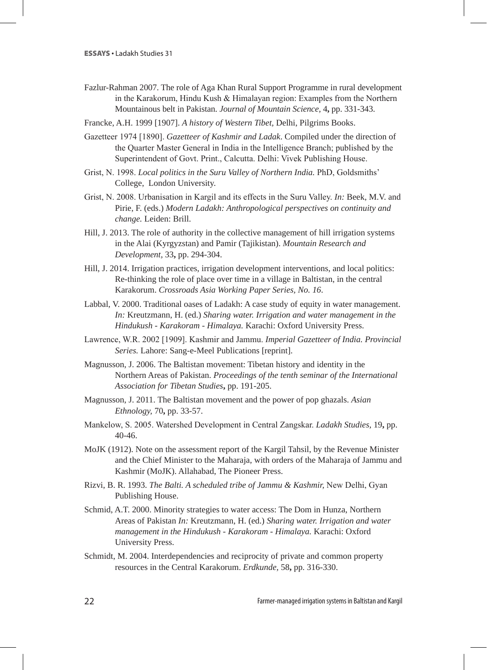- Fazlur-Rahman 2007. The role of Aga Khan Rural Support Programme in rural development in the Karakorum, Hindu Kush & Himalayan region: Examples from the Northern Mountainous belt in Pakistan. *Journal of Mountain Science,* 4**,** pp. 331-343.
- Francke, A.H. 1999 [1907]. *A history of Western Tibet,* Delhi, Pilgrims Books.
- Gazetteer 1974 [1890]. *Gazetteer of Kashmir and Ladak*. Compiled under the direction of the Quarter Master General in India in the Intelligence Branch; published by the Superintendent of Govt. Print., Calcutta. Delhi: Vivek Publishing House.
- Grist, N. 1998. *Local politics in the Suru Valley of Northern India.* PhD, Goldsmiths' College, London University.
- Grist, N. 2008. Urbanisation in Kargil and its effects in the Suru Valley. *In:* Beek, M.V. and Pirie, F. (eds.) *Modern Ladakh: Anthropological perspectives on continuity and change.* Leiden: Brill.
- Hill, J. 2013. The role of authority in the collective management of hill irrigation systems in the Alai (Kyrgyzstan) and Pamir (Tajikistan). *Mountain Research and Development,* 33**,** pp. 294-304.
- Hill, J. 2014. Irrigation practices, irrigation development interventions, and local politics: Re-thinking the role of place over time in a village in Baltistan, in the central Karakorum. *Crossroads Asia Working Paper Series, No. 16*.
- Labbal, V. 2000. Traditional oases of Ladakh: A case study of equity in water management. *In:* Kreutzmann, H. (ed.) *Sharing water. Irrigation and water management in the Hindukush - Karakoram - Himalaya.* Karachi: Oxford University Press.
- Lawrence, W.R. 2002 [1909]. Kashmir and Jammu. *Imperial Gazetteer of India. Provincial Series.* Lahore: Sang-e-Meel Publications [reprint].
- Magnusson, J. 2006. The Baltistan movement: Tibetan history and identity in the Northern Areas of Pakistan. *Proceedings of the tenth seminar of the International Association for Tibetan Studies***,** pp. 191-205.
- Magnusson, J. 2011. The Baltistan movement and the power of pop ghazals. *Asian Ethnology,* 70**,** pp. 33-57.
- Mankelow, S. 2005. Watershed Development in Central Zangskar. *Ladakh Studies,* 19**,** pp. 40-46.
- MoJK (1912). Note on the assessment report of the Kargil Tahsil, by the Revenue Minister and the Chief Minister to the Maharaja, with orders of the Maharaja of Jammu and Kashmir (MoJK). Allahabad, The Pioneer Press.
- Rizvi, B. R. 1993. *The Balti. A scheduled tribe of Jammu & Kashmir,* New Delhi, Gyan Publishing House.
- Schmid, A.T. 2000. Minority strategies to water access: The Dom in Hunza, Northern Areas of Pakistan *In:* Kreutzmann, H. (ed.) *Sharing water. Irrigation and water management in the Hindukush - Karakoram - Himalaya.* Karachi: Oxford University Press.
- Schmidt, M. 2004. Interdependencies and reciprocity of private and common property resources in the Central Karakorum. *Erdkunde,* 58**,** pp. 316-330.